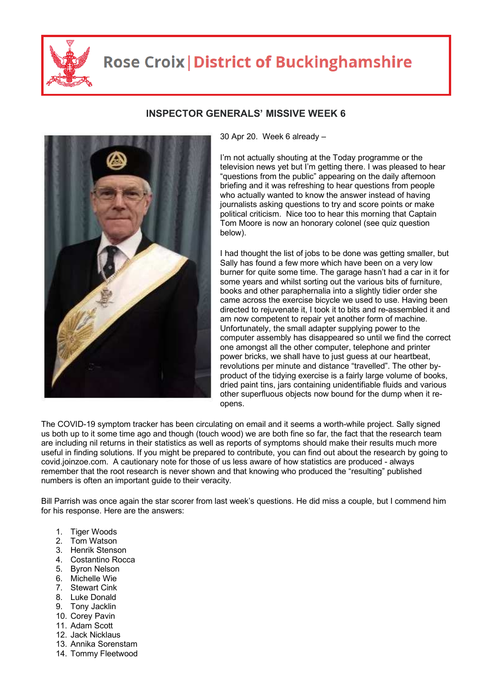

## **Rose Croix | District of Buckinghamshire**



## **INSPECTOR GENERALS' MISSIVE WEEK 6**

30 Apr 20. Week 6 already –

I'm not actually shouting at the Today programme or the television news yet but I'm getting there. I was pleased to hear "questions from the public" appearing on the daily afternoon briefing and it was refreshing to hear questions from people who actually wanted to know the answer instead of having journalists asking questions to try and score points or make political criticism. Nice too to hear this morning that Captain Tom Moore is now an honorary colonel (see quiz question below).

I had thought the list of jobs to be done was getting smaller, but Sally has found a few more which have been on a very low burner for quite some time. The garage hasn't had a car in it for some years and whilst sorting out the various bits of furniture, books and other paraphernalia into a slightly tidier order she came across the exercise bicycle we used to use. Having been directed to rejuvenate it, I took it to bits and re-assembled it and am now competent to repair yet another form of machine. Unfortunately, the small adapter supplying power to the computer assembly has disappeared so until we find the correct one amongst all the other computer, telephone and printer power bricks, we shall have to just guess at our heartbeat, revolutions per minute and distance "travelled". The other byproduct of the tidying exercise is a fairly large volume of books, dried paint tins, jars containing unidentifiable fluids and various other superfluous objects now bound for the dump when it reopens.

The COVID-19 symptom tracker has been circulating on email and it seems a worth-while project. Sally signed us both up to it some time ago and though (touch wood) we are both fine so far, the fact that the research team are including nil returns in their statistics as well as reports of symptoms should make their results much more useful in finding solutions. If you might be prepared to contribute, you can find out about the research by going to covid.joinzoe.com. A cautionary note for those of us less aware of how statistics are produced - always remember that the root research is never shown and that knowing who produced the "resulting" published numbers is often an important guide to their veracity.

Bill Parrish was once again the star scorer from last week's questions. He did miss a couple, but I commend him for his response. Here are the answers:

- 1. Tiger Woods
- 2. Tom Watson
- 3. Henrik Stenson
- 4. Costantino Rocca
- 5. Byron Nelson
- 6. Michelle Wie
- 7. Stewart Cink
- 8. Luke Donald
- 9. Tony Jacklin
- 10. Corey Pavin
- 11. Adam Scott
- 12. Jack Nicklaus
- 13. Annika Sorenstam
- 14. Tommy Fleetwood